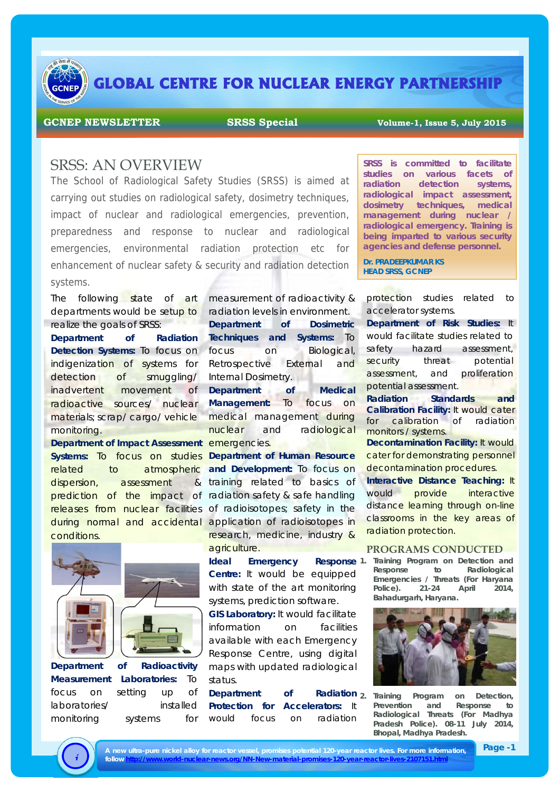

# **GLOBAL CENTRE FOR NUCLEAR ENERGY PARTNERSHIP**

#### **GCNEP NEWSLETTER SRSS Special Volume-1, Issue 5, July 2015**

### SRSS: AN OVERVIEW

The School of Radiological Safety Studies (SRSS) is aimed at carrying out studies on radiological safety, dosimetry techniques, impact of nuclear and radiological emergencies, prevention, preparedness and response to nuclear and radiological emergencies, environmental radiation protection etc for enhancement of nuclear safety & security and radiation detection systems.

The following state of art departments would be setup to realize the goals of SRSS:

**Department of Radiation Detection Systems:** To focus on indigenization of systems for detection of smuggling/ inadvertent movement of radioactive sources/ nuclear materials; scrap/ cargo/ vehicle monitoring.

**Department of Impact Assessment emergencies. Systems:** To focus on studies **Department of Human Resource**  related to atmospheric and Development: To focus on dispersion, assessment prediction of the impact of radiation safety & safe handling releases from nuclear facilities of radioisotopes; safety in the during normal and accidental application of radioisotopes in conditions.



monitoring systems for

**Department of Radioactivity Measurement Laboratories:** To focus on setting up of laboratories/ installed

measurement of radioactivity & radiation levels in environment. **Department of Dosimetric Techniques and Systems:** To focus on Biological, Retrospective External and Internal Dosimetry. **Department of Medical Management:** To focus on

medical management during nuclear and radiological

& training related to basics of research, medicine, industry & agriculture.

**Ideal** Emergency **Centre:** It would be equipped with state of the art monitoring systems, prediction software.

**GIS Laboratory:** It would facilitate information on facilities available with each Emergency Response Centre, using digital maps with updated radiological status.

**Department** of **Protection for Accelerators:** It would focus on radiation

**SRSS is committed to facilitate studies on various facets of radiation detection systems, radiological impact assessment, dosimetry techniques, medical management during nuclear / radiological emergency. Training is being imparted to various security agencies and defense personnel.** 

**Dr. PRADEEPKUMAR KS HEAD SRSS, GCNEP**

protection studies related to accelerator systems.

**Department of Risk Studies:** It would facilitate studies related to safety hazard assessment, security threat potential assessment, and proliferation potential assessment.

**Radiation Standards and Calibration Facility:** It would cater for calibration of radiation monitors / systems.

**Decontamination Facility: It would** cater for demonstrating personnel decontamination procedures.

**Interactive Distance Teaching:** It would provide interactive distance learning through on-line classrooms in the key areas of radiation protection.

#### **PROGRAMS CONDUCTED**

**1. Training Program on Detection and Response to Radiological Emergencies / Threats (For Haryana Police). 21-24 April 2014, Bahadurgarh, Haryana.** 



**2. Training Program on Detection, Prevention and Response to Radiological Threats (For Madhya Pradesh Police). 08-11 July 2014, Bhopal, Madhya Pradesh.**



A new ultra-pure nickel alloy for reactor vessel, promises potential 120-year reactor lives. For more information,<br>follow http://www.world-nuclear-news.org/NN-New-material-promises-120-year-reactor-lives-2107151.html